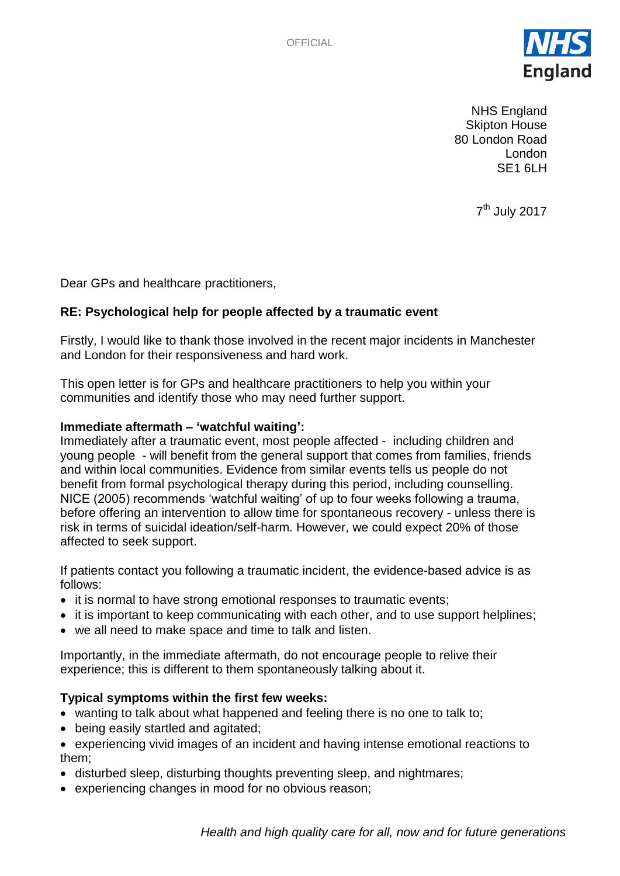

NHS England Skipton House 80 London Road London SE1 6LH

7<sup>th</sup> July 2017

Dear GPs and healthcare practitioners,

# **RE: Psychological help for people affected by a traumatic event**

Firstly, I would like to thank those involved in the recent major incidents in Manchester and London for their responsiveness and hard work.

This open letter is for GPs and healthcare practitioners to help you within your communities and identify those who may need further support.

## **Immediate aftermath – 'watchful waiting':**

Immediately after a traumatic event, most people affected - including children and young people - will benefit from the general support that comes from families, friends and within local communities. Evidence from similar events tells us people do not benefit from formal psychological therapy during this period, including counselling. NICE (2005) recommends 'watchful waiting' of up to four weeks following a trauma, before offering an intervention to allow time for spontaneous recovery - unless there is risk in terms of suicidal ideation/self-harm. However, we could expect 20% of those affected to seek support.

If patients contact you following a traumatic incident, the evidence-based advice is as follows:

- it is normal to have strong emotional responses to traumatic events;
- it is important to keep communicating with each other, and to use support helplines;
- we all need to make space and time to talk and listen.

Importantly, in the immediate aftermath, do not encourage people to relive their experience; this is different to them spontaneously talking about it.

## **Typical symptoms within the first few weeks:**

- wanting to talk about what happened and feeling there is no one to talk to;
- being easily startled and agitated;
- experiencing vivid images of an incident and having intense emotional reactions to them;
- disturbed sleep, disturbing thoughts preventing sleep, and nightmares;
- experiencing changes in mood for no obvious reason;